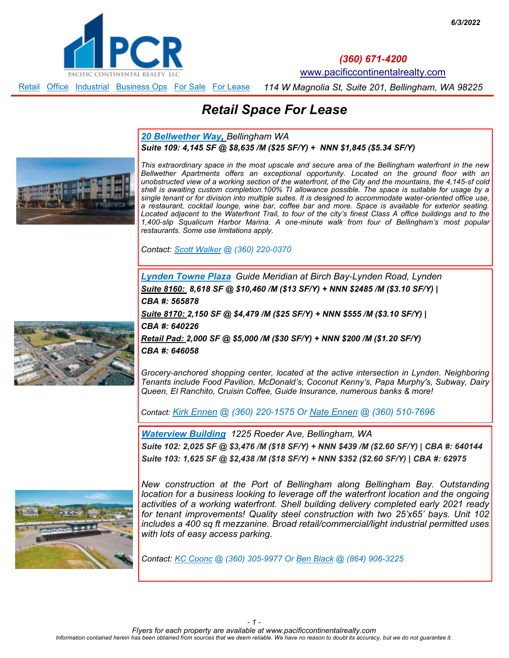<span id="page-0-0"></span>

*(360) 671-4200*

[www.pacificcontinentalrealty.com](http://www.pacificcontinentalrealty.com/)

*114 W Magnolia St, Suite 201, Bellingham, WA 98225* Retail Office Industrial Business Ops For Sale For Lease

# *Retail Space For Lease*

*[20 Bellwether Way,](http://www.pacificcontinentalrealty.com/listings/?propertyId=407573-lease) Bellingham WA Suite 109: 4,145 SF @ \$8,635 /M (\$25 SF/Y) + NNN \$1,845 (\$5.34 SF/Y)*



*This extraordinary space in the most upscale and secure area of the Bellingham waterfront in the new Bellwether Apartments offers an exceptional opportunity. Located on the ground floor with an unobstructed view of a working section of the waterfront, of the City and the mountains, the 4,145-sf cold shell is awaiting custom completion.100% TI allowance possible. The space is suitable for usage by a single tenant or for division into multiple suites. It is designed to accommodate water-oriented office use, a restaurant, cocktail lounge, wine bar, coffee bar and more. Space is available for exterior seating. Located adjacent to the Waterfront Trail, to four of the city's finest Class A office buildings and to the 1,400-slip Squalicum Harbor Marina. A one-minute walk from four of Bellingham's most popular restaurants. Some use limitations apply.* 

*Contact: [Scott Walker](mailto:scott@pacificcontinentalrealty.com?subject=21%20Bellwether%20Way) @ (360) 220-0370* 

*[Lynden Towne Plaza](http://www.pacificcontinentalrealty.com/properties/retail-space-lynden-towne-plaza/) Guide Meridian at Birch Bay-Lynden Road, Lynden Suite 8160: 8,618 SF @ \$10,460 /M (\$13 SF/Y) + NNN \$2485 /M (\$3.10 SF/Y) | CBA #: 565878*

*Suite 8170: 2,150 SF @ \$4,479 /M (\$25 SF/Y) + NNN \$555 /M (\$3.10 SF/Y) |* 

*CBA #: 640226* 

*Retail Pad: 2,000 SF @ \$5,000 /M (\$30 SF/Y) + NNN \$200 /M (\$1.20 SF/Y) CBA #: 646058* 

*Grocery-anchored shopping center, located at the active intersection in Lynden. Neighboring Tenants include Food Pavilion, McDonald's, Coconut Kenny's, Papa Murphy's, Subway, Dairy Queen, El Ranchito, Cruisin Coffee, Guide Insurance, numerous banks & more!* 

*Contact: [Kirk Ennen](mailto:kirk@ennenproperties.com?subject=Lynden%20Towne%20Plaza) @ (360) 220-1575 Or [Nate Ennen](mailto:nate@ennenproperties.com?subject=Lynden%20Towne%20Plaza) @ (360) 510-7696* 

*Waterview Building 1225 Roeder Ave, Bellingham, WA Suite 102: 2,025 SF @ \$3,476 /M (\$18 SF/Y) + NNN \$439 /M (\$2.60 SF/Y) | CBA #: 640144 Suite 103: 1,625 SF @ \$2,438 /M (\$18 SF/Y) + NNN \$352 (\$2.60 SF/Y) | CBA #: 62975*



*New construction at the Port of Bellingham along Bellingham Bay. Outstanding location for a business looking to leverage off the waterfront location and the ongoing activities of a working waterfront. Shell building delivery completed early 2021 ready for tenant improvements! Quality steel construction with two 25'x65' bays. Unit 102 includes a 400 sq ft mezzanine. Broad retail/commercial/light industrial permitted uses with lots of easy access parking.*

*Contact: KC Coonc @ (360) 305-9977 Or Ben Black @ (864) 906-3225*

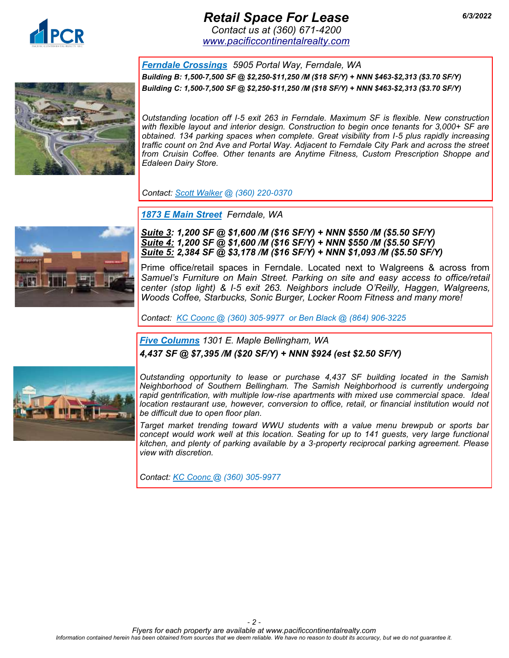

## *Retail Space For Lease 6/3/2022*

*Contact us at (360) 671-4200 [www.pacificcontinentalrealty.com](http://www.pacificcontinentalrealty.com/retail-lease)*

*[Ferndale Crossings](http://www.pacificcontinentalrealty.com/listings/?propertyId=410467-lease) 5905 Portal Way, Ferndale, WA Building B: 1,500-7,500 SF @ \$2,250-\$11,250 /M (\$18 SF/Y) + NNN \$463-\$2,313 (\$3.70 SF/Y) Building C: 1,500-7,500 SF @ \$2,250-\$11,250 /M (\$18 SF/Y) + NNN \$463-\$2,313 (\$3.70 SF/Y)*



*Outstanding location off I-5 exit 263 in Ferndale. Maximum SF is flexible. New construction with flexible layout and interior design. Construction to begin once tenants for 3,000+ SF are obtained. 134 parking spaces when complete. Great visibility from I-5 plus rapidly increasing traffic count on 2nd Ave and Portal Way. Adjacent to Ferndale City Park and across the street from Cruisin Coffee. Other tenants are Anytime Fitness, Custom Prescription Shoppe and Edaleen Dairy Store.*

*Contact: [Scott Walker](mailto:scott@pacificcontinentalrealty.com?subject=5905%20Portal%20Way%20Ferndale%20Crossings) @ (360) 220-0370* 

*[1873 E Main Street](http://www.pacificcontinentalrealty.com/listings/?propertyId=410433-lease) Ferndale, WA*



*Suite 3: 1,200 SF @ \$1,600 /M (\$16 SF/Y) + NNN \$550 /M (\$5.50 SF/Y) Suite 4: 1,200 SF @ \$1,600 /M (\$16 SF/Y) + NNN \$550 /M (\$5.50 SF/Y) Suite 5: 2,384 SF @ \$3,178 /M (\$16 SF/Y) + NNN \$1,093 /M (\$5.50 SF/Y)*

Prime office/retail spaces in Ferndale. Located next to Walgreens & across from *Samuel's Furniture on Main Street. Parking on site and easy access to office/retail center (stop light) & I-5 exit 263. Neighbors include O'Reilly, Haggen, Walgreens, Woods Coffee, Starbucks, Sonic Burger, Locker Room Fitness and many more!*

*Contact: KC Coonc @ (360) 305-9977 or Ben Black @ (864) 906-3225*

#### *[Five Columns](http://www.pacificcontinentalrealty.com/properties/1301-e-maple-st/) 1301 E. Maple Bellingham, WA 4,437 SF @ \$7,395 /M (\$20 SF/Y) + NNN \$924 (est \$2.50 SF/Y)*



*Outstanding opportunity to lease or purchase 4,437 SF building located in the Samish Neighborhood of Southern Bellingham. The Samish Neighborhood is currently undergoing rapid gentrification, with multiple low-rise apartments with mixed use commercial space. Ideal location restaurant use, however, conversion to office, retail, or financial institution would not be difficult due to open floor plan.* 

*Target market trending toward WWU students with a value menu brewpub or sports bar*  concept would work well at this location. Seating for up to 141 guests, very large functional *kitchen, and plenty of parking available by a 3-property reciprocal parking agreement. Please view with discretion.*

*Contact: KC Coonc @ (360) 305-9977*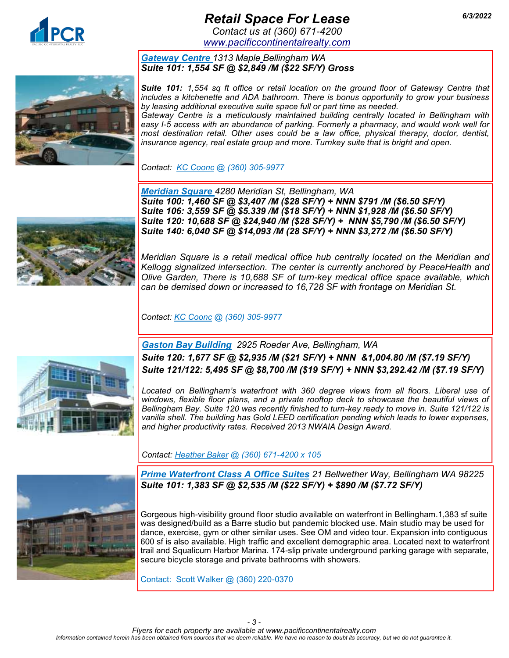

# *Retail Space For Lease 6/3/2022*

*Contact us at (360) 671-4200 [www.pacificcontinentalrealty.com](http://www.pacificcontinentalrealty.com/retail-lease)*

#### *Gateway [Centre](http://www.pacificcontinentalrealty.com/properties/1313-e-maple-st/) 1313 [Maple](http://www.pacificcontinentalrealty.com/listings/?propertyId=407573-lease) Bellingham WA Suite 101: 1,554 SF @ \$2,849 /M (\$22 SF/Y) Gross*



*Suite 101: 1,554 sq ft office or retail location on the ground floor of Gateway Centre that includes a kitchenette and ADA bathroom. There is bonus opportunity to grow your business by leasing additional executive suite space full or part time as needed. Gateway Centre is a meticulously maintained building centrally located in Bellingham with easy I-5 access with an abundance of parking. Formerly a pharmacy, and would work well for most destination retail. Other uses could be a law office, physical therapy, doctor, dentist, insurance agency, real estate group and more. Turnkey suite that is bright and open.* 

*Contact: KC Coonc @ (360) 305-9977* 



*[Meridian Square](http://www.pacificcontinentalrealty.com/properties/4280-meridian/) 4280 Meridian St, Bellingham, WA Suite 100: 1,460 SF @ \$3,407 /M (\$28 SF/Y) + NNN \$791 /M (\$6.50 SF/Y) Suite 106: 3,559 SF @ \$5.339 /M (\$18 SF/Y) + NNN \$1,928 /M (\$6.50 SF/Y) Suite 120: 10,688 SF @ \$24,940 /M (\$28 SF/Y) + NNN \$5,790 /M (\$6.50 SF/Y) Suite 140: 6,040 SF @ \$14,093 /M (28 SF/Y) + NNN \$3,272 /M (\$6.50 SF/Y)*

*Meridian Square is a retail medical office hub centrally located on the Meridian and Kellogg signalized intersection. The center is currently anchored by PeaceHealth and Olive Garden, There is 10,688 SF of turn-key medical office space available, which can be demised down or increased to 16,728 SF with frontage on Meridian St.* 

*Contact: KC Coonc @ (360) 305-9977* 



*[Gaston Bay Building](http://www.pacificcontinentalrealty.com/listings/?propertyId=405557-lease) 2925 Roeder Ave, Bellingham, WA Suite 120: 1,677 SF @ \$2,935 /M (\$21 SF/Y) + NNN &1,004.80 /M (\$7.19 SF/Y) Suite 121/122: 5,495 SF @ \$8,700 /M (\$19 SF/Y) + NNN \$3,292.42 /M (\$7.19 SF/Y)*

*Located on Bellingham's waterfront with 360 degree views from all floors. Liberal use of windows, flexible floor plans, and a private rooftop deck to showcase the beautiful views of Bellingham Bay. Suite 120 was recently finished to turn-key ready to move in. Suite 121/122 is vanilla shell. The building has Gold LEED certification pending which leads to lower expenses, and higher productivity rates. Received 2013 NWAIA Design Award.*

*Contact: [Heather Baker](mailto:heather@pacificcontinentalrealty.com?subject=2925%20Roeder%20Ave.) @ (360) 671-4200 x 105* 



*Prime Waterfront Class A Office Suites 21 Bellwether Way, Bellingham WA 98225 Suite 101: 1,383 SF @ \$2,535 /M (\$22 SF/Y) + \$890 /M (\$7.72 SF/Y)* 

Gorgeous high-visibility ground floor studio available on waterfront in Bellingham.1,383 sf suite was designed/build as a Barre studio but pandemic blocked use. Main studio may be used for dance, exercise, gym or other similar uses. See OM and video tour. Expansion into contiguous 600 sf is also available. High traffic and excellent demographic area. Located next to waterfront trail and Squalicum Harbor Marina. 174-slip private underground parking garage with separate, secure bicycle storage and private bathrooms with showers.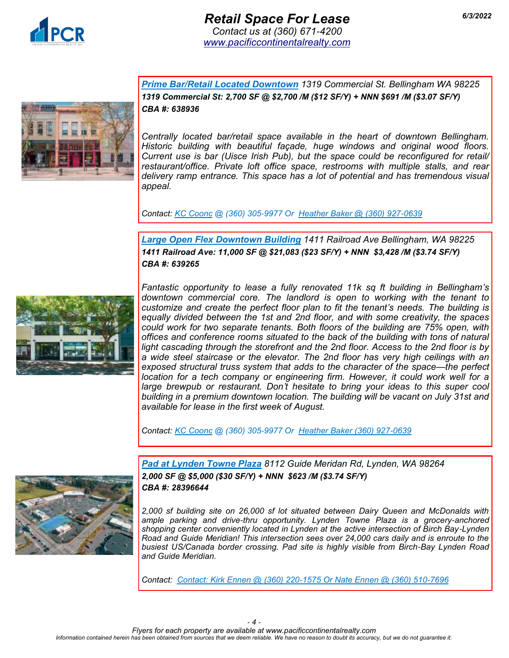



*Prime Bar/Retail Located Downtown 1319 Commercial St. Bellingham WA 98225 1319 Commercial St: 2,700 SF @ \$2,700 /M (\$12 SF/Y) + NNN \$691 /M (\$3.07 SF/Y) CBA #: 638936*

*Centrally located bar/retail space available in the heart of downtown Bellingham. Historic building with beautiful façade, huge windows and original wood floors. Current use is bar (Uisce Irish Pub), but the space could be reconfigured for retail/ restaurant/office. Private loft office space, restrooms with multiple stalls, and rear delivery ramp entrance. This space has a lot of potential and has tremendous visual appeal.* 

*Contact: KC Coonc @ (360) 305-9977 Or Heather Baker @ (360) 927-0639*

*Large Open Flex Downtown Building 1411 Railroad Ave Bellingham, WA 98225 1411 Railroad Ave: 11,000 SF @ \$21,083 (\$23 SF/Y) + NNN \$3,428 /M (\$3.74 SF/Y) CBA #: 639265*



*Fantastic opportunity to lease a fully renovated 11k sq ft building in Bellingham's downtown commercial core. The landlord is open to working with the tenant to customize and create the perfect floor plan to fit the tenant's needs. The building is equally divided between the 1st and 2nd floor, and with some creativity, the spaces could work for two separate tenants. Both floors of the building are 75% open, with offices and conference rooms situated to the back of the building with tons of natural light cascading through the storefront and the 2nd floor. Access to the 2nd floor is by a wide steel staircase or the elevator. The 2nd floor has very high ceilings with an exposed structural truss system that adds to the character of the space—the perfect location for a tech company or engineering firm. However, it could work well for a* large brewpub or restaurant. Don't hesitate to bring your ideas to this super cool *building in a premium downtown location. The building will be vacant on July 31st and available for lease in the first week of August.* 

*Contact: KC Coonc @ (360) 305-9977 Or Heather Baker (360) 927-0639*



*Pad at Lynden Towne Plaza 8112 Guide Meridan Rd, Lynden, WA 98264 2,000 SF @ \$5,000 (\$30 SF/Y) + NNN \$623 /M (\$3.74 SF/Y) CBA #: 28396644* 

*2,000 sf building site on 26,000 sf lot situated between Dairy Queen and McDonalds with ample parking and drive-thru opportunity. Lynden Towne Plaza is a grocery-anchored shopping center conveniently located in Lynden at the active intersection of Birch Bay-Lynden Road and Guide Meridian! This intersection sees over 24,000 cars daily and is enroute to the busiest US/Canada border crossing. Pad site is highly visible from Birch-Bay Lynden Road and Guide Meridian.* 

*Contact: Contact: Kirk Ennen @ (360) 220-1575 Or Nate Ennen @ (360) 510-7696*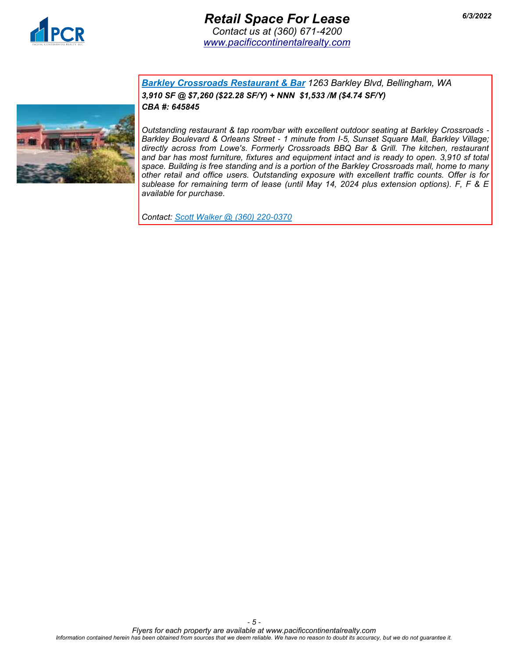



*Barkley Crossroads Restaurant & Bar 1263 Barkley Blvd, Bellingham, WA 3,910 SF @ \$7,260 (\$22.28 SF/Y) + NNN \$1,533 /M (\$4.74 SF/Y) CBA #: 645845*

*Outstanding restaurant & tap room/bar with excellent outdoor seating at Barkley Crossroads - Barkley Boulevard & Orleans Street - 1 minute from I-5, Sunset Square Mall, Barkley Village; directly across from Lowe's. Formerly Crossroads BBQ Bar & Grill. The kitchen, restaurant and bar has most furniture, fixtures and equipment intact and is ready to open. 3,910 sf total space. Building is free standing and is a portion of the Barkley Crossroads mall, home to many other retail and office users. Outstanding exposure with excellent traffic counts. Offer is for sublease for remaining term of lease (until May 14, 2024 plus extension options). F, F & E available for purchase.*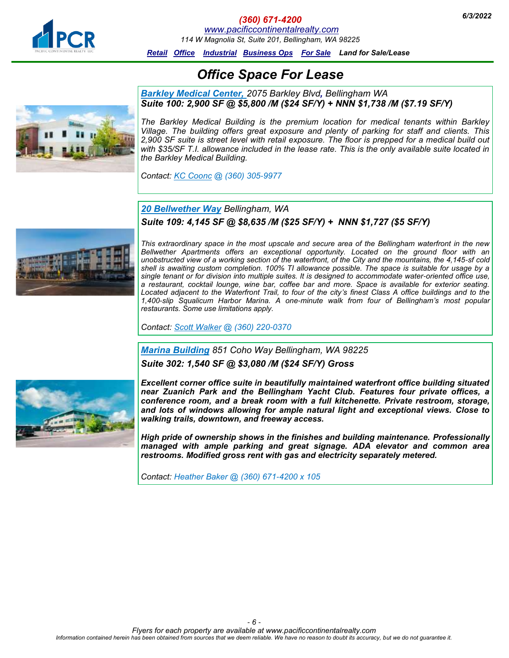<span id="page-5-0"></span>

#### *6/3/2022 (360) 671-4200*

*[www.pacificcontinentalrealty.com](http://www.pacificcontinentalrealty.com/office-lease/)*

*114 W Magnolia St, Suite 201, Bellingham, WA 98225*

*[Retail](#page-0-0) [Office](#page-5-0) [Industrial](#page-13-0) [Business Ops For Sale](#page-15-0) Land for Sale/Lease*

# *Office Space For Lease*

#### *Barkley Medical Center, 2075 Barkley Blvd[,](http://www.pacificcontinentalrealty.com/listings/?propertyId=407573-lease) Bellingham WA Suite 100: 2,900 SF @ \$5,800 /M (\$24 SF/Y) + NNN \$1,738 /M (\$7.19 SF/Y)*

*The Barkley Medical Building is the premium location for medical tenants within Barkley Village. The building offers great exposure and plenty of parking for staff and clients. This 2,900 SF suite is street level with retail exposure. The floor is prepped for a medical build out with \$35/SF T.I. allowance included in the lease rate. This is the only available suite located in the Barkley Medical Building.*

*Contact: KC Coonc @ (360) 305-9977* 

### *[20 Bellwether Way](http://www.pacificcontinentalrealty.com/properties/professional-offices-for-lease-near-i-5/) Bellingham, WA Suite 109: 4,145 SF @ \$8,635 /M (\$25 SF/Y) + NNN \$1,727 (\$5 SF/Y)*



*This extraordinary space in the most upscale and secure area of the Bellingham waterfront in the new Bellwether Apartments offers an exceptional opportunity. Located on the ground floor with an unobstructed view of a working section of the waterfront, of the City and the mountains, the 4,145-sf cold shell is awaiting custom completion. 100% TI allowance possible. The space is suitable for usage by a single tenant or for division into multiple suites. It is designed to accommodate water-oriented office use, a restaurant, cocktail lounge, wine bar, coffee bar and more. Space is available for exterior seating. Located adjacent to the Waterfront Trail, to four of the city's finest Class A office buildings and to the 1,400-slip Squalicum Harbor Marina. A one-minute walk from four of Bellingham's most popular restaurants. Some use limitations apply.* 

*Contact: [Scott Walker](mailto:scott@pacificcontinentalrealty.com?subject=1315%2011th%20St) @ (360) 220-0370* 

#### *Marina Building 851 Coho Way Bellingham, WA 98225*

*Suite 302: 1,540 SF @ \$3,080 /M (\$24 SF/Y) Gross*



*Excellent corner office suite in beautifully maintained waterfront office building situated near Zuanich Park and the Bellingham Yacht Club. Features four private offices, a conference room, and a break room with a full kitchenette. Private restroom, storage, and lots of windows allowing for ample natural light and exceptional views. Close to walking trails, downtown, and freeway access.*

*High pride of ownership shows in the finishes and building maintenance. Professionally managed with ample parking and great signage. ADA elevator and common area restrooms. Modified gross rent with gas and electricity separately metered.*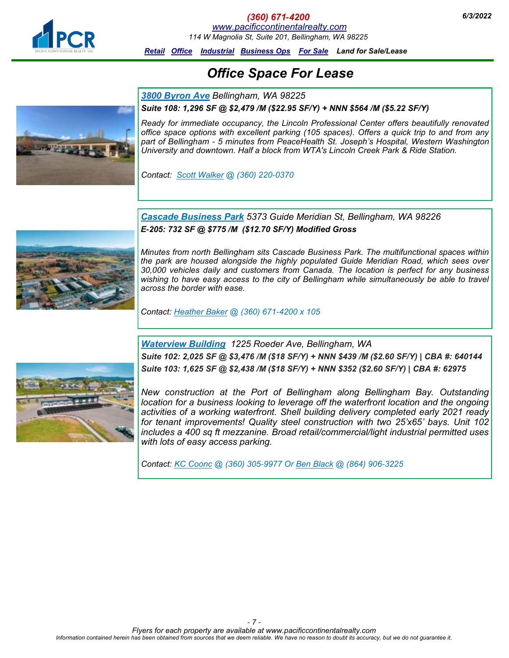

#### *(360) 671-4200 6/3/2022 [www.pacificcontinentalrealty.com](http://www.pacificcontinentalrealty.com/office-lease/)*

*114 W Magnolia St, Suite 201, Bellingham, WA 98225*

*[Retail](#page-0-0) [Office](#page-5-0) [Industrial](#page-13-0) [Business Ops For Sale](#page-15-0) Land for Sale/Lease*

# *Office Space For Lease*

*[3800 Byron Ave](http://www.pacificcontinentalrealty.com/properties/professional-offices-for-lease-near-i-5/) Bellingham, WA 98225*



#### *Suite 108: 1,296 SF @ \$2,479 /M (\$22.95 SF/Y) + NNN \$564 /M (\$5.22 SF/Y)*

*Ready for immediate occupancy, the Lincoln Professional Center offers beautifully renovated office space options with excellent parking (105 spaces). Offers a quick trip to and from any part of Bellingham - 5 minutes from PeaceHealth St. Joseph's Hospital, Western Washington University and downtown. Half a block from WTA's Lincoln Creek Park & Ride Station.* 

*Contact: [Scott Walker](mailto:scott@pacificcontinentalrealty.com?subject=3800%20Byron%20Ave) @ (360) 220-0370* 



*[Cascade Business Park](http://pacificcontinentalrealty.com/properties/warehouse-cascade-business-park/) 5373 Guide Meridian St, Bellingham, WA 98226 E-205: 732 SF @ \$775 /M (\$12.70 SF/Y) Modified Gross*

*Minutes from north Bellingham sits Cascade Business Park. The multifunctional spaces within the park are housed alongside the highly populated Guide Meridian Road, which sees over 30,000 vehicles daily and customers from Canada. The location is perfect for any business*  wishing to have easy access to the city of Bellingham while simultaneously be able to travel *across the border with ease.*

*Contact: [Heather Baker](mailto:heather@pacificcontinentalrealty.com?subject=Cascade%20Business%20Park) @ (360) 671-4200 x 105*

*Waterview Building 1225 Roeder Ave, Bellingham, WA*

*Suite 102: 2,025 SF @ \$3,476 /M (\$18 SF/Y) + NNN \$439 /M (\$2.60 SF/Y) | CBA #: 640144 Suite 103: 1,625 SF @ \$2,438 /M (\$18 SF/Y) + NNN \$352 (\$2.60 SF/Y) | CBA #: 62975*



*New construction at the Port of Bellingham along Bellingham Bay. Outstanding location for a business looking to leverage off the waterfront location and the ongoing activities of a working waterfront. Shell building delivery completed early 2021 ready for tenant improvements! Quality steel construction with two 25'x65' bays. Unit 102 includes a 400 sq ft mezzanine. Broad retail/commercial/light industrial permitted uses with lots of easy access parking.*

*Contact: KC Coonc @ (360) 305-9977 Or Ben Black @ (864) 906-3225*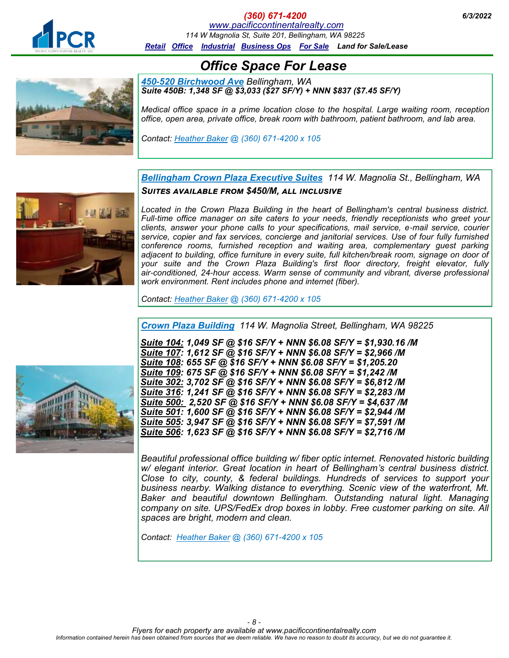

*(360) 671-4200 6/3/2022 [www.pacificcontinentalrealty.com](http://www.pacificcontinentalrealty.com/office-lease/) 114 W Magnolia St, Suite 201, Bellingham, WA 98225*

*[Retail](#page-0-0) [Office](#page-5-0) [Industrial](#page-13-0) [Business Ops For Sale](#page-15-0) Land for Sale/Lease*

*Office Space For Lease*

*450-520 [Birchwood Ave](http://www.pacificcontinentalrealty.com/properties/520-b-birchwood-ave/) Bellingham, WA Suite 450B: 1,348 SF @ \$3,033 (\$27 SF/Y) + NNN \$837 (\$7.45 SF/Y)*

*Medical office space in a prime location close to the hospital. Large waiting room, reception office, open area, private office, break room with bathroom, patient bathroom, and lab area.* 

*Contact: Heather Baker @ (360) 671-4200 x 105*



*[Bellingham Crown Plaza Executive Suites](http://www.bcpoffice.com/) 114 W. Magnolia St., Bellingham, WA Suites available from \$450/M, all inclusive*

Located in the Crown Plaza Building in the heart of Bellingham's central business district. Full-time office manager on site caters to your needs, friendly receptionists who greet your *clients, answer your phone calls to your specifications, mail service, e-mail service, courier service, copier and fax services, concierge and janitorial services. Use of four fully furnished conference rooms, furnished reception and waiting area, complementary guest parking*  adjacent to building, office furniture in every suite, full kitchen/break room, signage on door of *your suite and the Crown Plaza Building's first floor directory, freight elevator, fully air-conditioned, 24-hour access. Warm sense of community and vibrant, diverse professional work environment. Rent includes phone and internet (fiber).*

*Contact: [Heather Baker](mailto:heather@pacificcontinentalrealty.com?subject=Crown%20Plaza%20Executive%20Suites) @ (360) 671-4200 x 105* 

*[Crown Plaza Building](http://www.pacificcontinentalrealty.com/properties/bellingham-crown-plaza-building-downtown/) 114 W. Magnolia Street, Bellingham, WA 98225*

*Suite 104: 1,049 SF @ \$16 SF/Y + NNN \$6.08 SF/Y = \$1,930.16 /M Suite 107: 1,612 SF @ \$16 SF/Y + NNN \$6.08 SF/Y = \$2,966 /M Suite 108: 655 SF @ \$16 SF/Y + NNN \$6.08 SF/Y = \$1,205.20 Suite 109: 675 SF @ \$16 SF/Y + NNN \$6.08 SF/Y = \$1,242 /M Suite 302: 3,702 SF @ \$16 SF/Y + NNN \$6.08 SF/Y = \$6,812 /M Suite 316: 1,241 SF @ \$16 SF/Y + NNN \$6.08 SF/Y = \$2,283 /M Suite 500: 2,520 SF @ \$16 SF/Y + NNN \$6.08 SF/Y = \$4,637 /M Suite 501: 1,600 SF @ \$16 SF/Y + NNN \$6.08 SF/Y = \$2,944 /M Suite 505: 3,947 SF @ \$16 SF/Y + NNN \$6.08 SF/Y = \$7,591 /M Suite 506: 1,623 SF @ \$16 SF/Y + NNN \$6.08 SF/Y = \$2,716 /M*

*Beautiful professional office building w/ fiber optic internet. Renovated historic building w/ elegant interior. Great location in heart of Bellingham's central business district. Close to city, county, & federal buildings. Hundreds of services to support your business nearby. Walking distance to everything. Scenic view of the waterfront, Mt. Baker and beautiful downtown Bellingham. Outstanding natural light. Managing company on site. UPS/FedEx drop boxes in lobby. Free customer parking on site. All spaces are bright, modern and clean.*

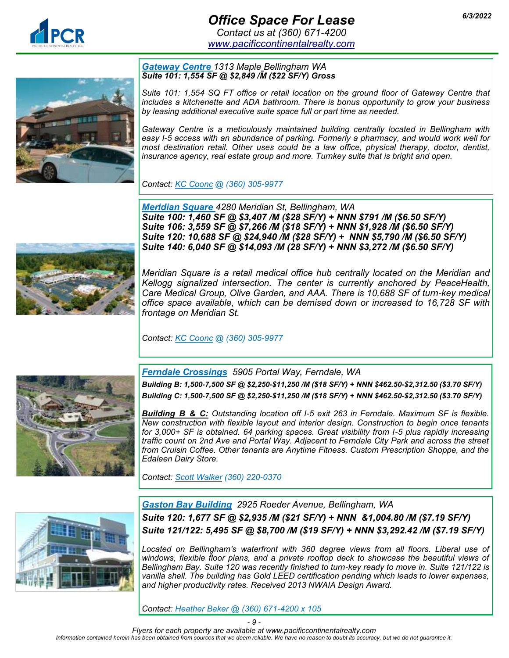## *6/3/2022 Office Space For Lease Contact us at (360) 671-4200*

*[www.pacificcontinentalrealty.com](http://www.pacificcontinentalrealty.com/office-lease)*

#### *[Gateway](http://www.pacificcontinentalrealty.com/properties/1313-e-maple-st/) Centre 1313 [Maple](http://www.pacificcontinentalrealty.com/listings/?propertyId=407573-lease) Bellingham WA Suite 101: 1,554 SF @ \$2,849 /M (\$22 SF/Y) Gross*

*Suite 101: 1,554 SQ FT office or retail location on the ground floor of Gateway Centre that includes a kitchenette and ADA bathroom. There is bonus opportunity to grow your business by leasing additional executive suite space full or part time as needed.*

*Gateway Centre is a meticulously maintained building centrally located in Bellingham with easy I-5 access with an abundance of parking. Formerly a pharmacy, and would work well for most destination retail. Other uses could be a law office, physical therapy, doctor, dentist, insurance agency, real estate group and more. Turnkey suite that is bright and open.* 

*Contact: KC Coonc @ (360) 305-9977* 

*[Meridian Square](http://www.pacificcontinentalrealty.com/properties/4280-meridian/) 4280 Meridian St, Bellingham, WA Suite 100: 1,460 SF @ \$3,407 /M (\$28 SF/Y) + NNN \$791 /M (\$6.50 SF/Y) Suite 106: 3,559 SF @ \$7,266 /M (\$18 SF/Y) + NNN \$1,928 /M (\$6.50 SF/Y) Suite 120: 10,688 SF @ \$24,940 /M (\$28 SF/Y) + NNN \$5,790 /M (\$6.50 SF/Y) Suite 140: 6,040 SF @ \$14,093 /M (28 SF/Y) + NNN \$3,272 /M (\$6.50 SF/Y)*

*Meridian Square is a retail medical office hub centrally located on the Meridian and Kellogg signalized intersection. The center is currently anchored by PeaceHealth, Care Medical Group, Olive Garden, and AAA. There is 10,688 SF of turn-key medical office space available, which can be demised down or increased to 16,728 SF with frontage on Meridian St.* 

*Contact: KC Coonc @ (360) 305-9977* 



*[Ferndale Crossings](http://www.pacificcontinentalrealty.com/properties/prime-retail-space-new-construction-in-ferndale-near-i-5/) 5905 Portal Way, Ferndale, WA*

*Building B: 1,500-7,500 SF @ \$2,250-\$11,250 /M (\$18 SF/Y) + NNN \$462.50-\$2,312.50 (\$3.70 SF/Y) Building C: 1,500-7,500 SF @ \$2,250-\$11,250 /M (\$18 SF/Y) + NNN \$462.50-\$2,312.50 (\$3.70 SF/Y)*

*Building B & C: Outstanding location off I-5 exit 263 in Ferndale. Maximum SF is flexible. New construction with flexible layout and interior design. Construction to begin once tenants for 3,000+ SF is obtained. 64 parking spaces. Great visibility from I-5 plus rapidly increasing traffic count on 2nd Ave and Portal Way. Adjacent to Ferndale City Park and across the street from Cruisin Coffee. Other tenants are Anytime Fitness. Custom Prescription Shoppe, and the Edaleen Dairy Store.*

*Contact: [Scott Walker](mailto:scott@pacificcontinentalrealty.com?subject=5905%20Portal%20Way%20Ferndale%20Crossings) (360) 220-0370* 



*[Gaston Bay Building](http://www.pacificcontinentalrealty.com/listings/?propertyId=405557-lease) 2925 Roeder Avenue, Bellingham, WA Suite 120: 1,677 SF @ \$2,935 /M (\$21 SF/Y) + NNN &1,004.80 /M (\$7.19 SF/Y) Suite 121/122: 5,495 SF @ \$8,700 /M (\$19 SF/Y) + NNN \$3,292.42 /M (\$7.19 SF/Y)*

Located on Bellingham's waterfront with 360 degree views from all floors. Liberal use of *windows, flexible floor plans, and a private rooftop deck to showcase the beautiful views of Bellingham Bay. Suite 120 was recently finished to turn-key ready to move in. Suite 121/122 is vanilla shell. The building has Gold LEED certification pending which leads to lower expenses, and higher productivity rates. Received 2013 NWAIA Design Award.*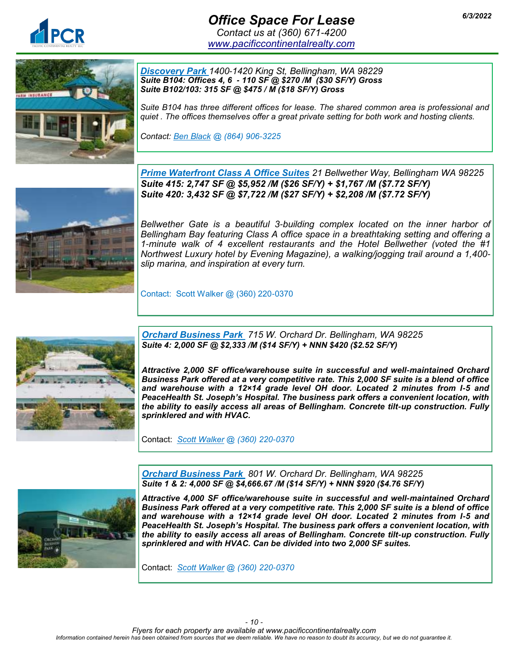

*Discovery Park 1400-1420 King St, Bellingham, WA 98229 Suite B104: Offices 4, 6 - 110 SF @ \$270 /M (\$30 SF/Y) Gross Suite B102/103: 315 SF @ \$475 / M (\$18 SF/Y) Gross*

*Suite B104 has three different offices for lease. The shared common area is professional and quiet . The offices themselves offer a great private setting for both work and hosting clients.*

*Contact: Ben Black @ (864) 906-3225*



*Prime Waterfront Class A Office Suites 21 Bellwether Way, Bellingham WA 98225 Suite 415: 2,747 SF @ \$5,952 /M (\$26 SF/Y) + \$1,767 /M (\$7.72 SF/Y) Suite 420: 3,432 SF @ \$7,722 /M (\$27 SF/Y) + \$2,208 /M (\$7.72 SF/Y)* 

*Bellwether Gate is a beautiful 3-building complex located on the inner harbor of Bellingham Bay featuring Class A office space in a breathtaking setting and offering a 1-minute walk of 4 excellent restaurants and the Hotel Bellwether (voted the #1 Northwest Luxury hotel by Evening Magazine), a walking/jogging trail around a 1,400 slip marina, and inspiration at every turn.*

Contact: Scott Walker @ (360) 220-0370



*Orchard Business Park 715 W. Orchard Dr. Bellingham, WA 98225 Suite 4: 2,000 SF @ \$2,333 /M (\$14 SF/Y) + NNN \$420 (\$2.52 SF/Y)*

*Attractive 2,000 SF office/warehouse suite in successful and well-maintained Orchard Business Park offered at a very competitive rate. This 2,000 SF suite is a blend of office and warehouse with a 12×14 grade level OH door. Located 2 minutes from I-5 and PeaceHealth St. Joseph's Hospital. The business park offers a convenient location, with the ability to easily access all areas of Bellingham. Concrete tilt-up construction. Fully sprinklered and with HVAC.* 

Contact: *[Scott Walker](mailto:scott@pacificcontinentalrealty.com?subject=5905%20Portal%20Way%20Ferndale%20Crossings) @ (360) 220-0370* 



*Orchard Business Park 801 W. Orchard Dr. Bellingham, WA 98225 Suite 1 & 2: 4,000 SF @ \$4,666.67 /M (\$14 SF/Y) + NNN \$920 (\$4.76 SF/Y)*

*Attractive 4,000 SF office/warehouse suite in successful and well-maintained Orchard Business Park offered at a very competitive rate. This 2,000 SF suite is a blend of office and warehouse with a 12×14 grade level OH door. Located 2 minutes from I-5 and PeaceHealth St. Joseph's Hospital. The business park offers a convenient location, with the ability to easily access all areas of Bellingham. Concrete tilt-up construction. Fully sprinklered and with HVAC. Can be divided into two 2,000 SF suites.*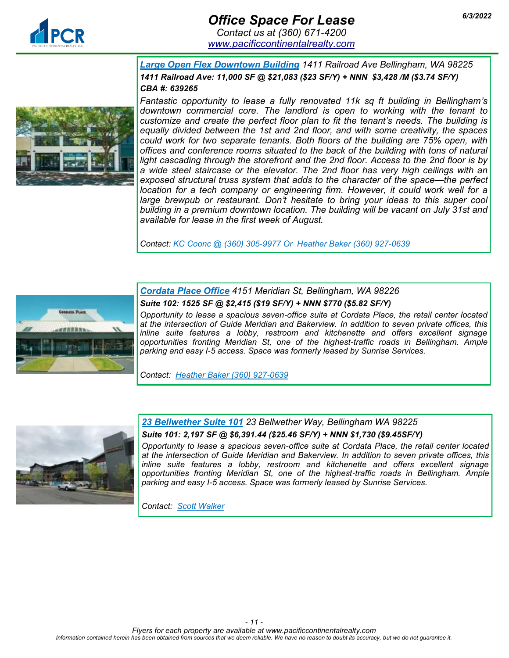

# *6/3/2022 Office Space For Lease Contact us at (360) 671-4200*

*[www.pacificcontinentalrealty.com](http://www.pacificcontinentalrealty.com/office-lease)*



*Large Open Flex Downtown Building 1411 Railroad Ave Bellingham, WA 98225 1411 Railroad Ave: 11,000 SF @ \$21,083 (\$23 SF/Y) + NNN \$3,428 /M (\$3.74 SF/Y) CBA #: 639265*

*Fantastic opportunity to lease a fully renovated 11k sq ft building in Bellingham's downtown commercial core. The landlord is open to working with the tenant to customize and create the perfect floor plan to fit the tenant's needs. The building is equally divided between the 1st and 2nd floor, and with some creativity, the spaces could work for two separate tenants. Both floors of the building are 75% open, with offices and conference rooms situated to the back of the building with tons of natural light cascading through the storefront and the 2nd floor. Access to the 2nd floor is by a wide steel staircase or the elevator. The 2nd floor has very high ceilings with an exposed structural truss system that adds to the character of the space—the perfect location for a tech company or engineering firm. However, it could work well for a* large brewpub or restaurant. Don't hesitate to bring your ideas to this super cool *building in a premium downtown location. The building will be vacant on July 31st and available for lease in the first week of August.* 

*Contact: KC Coonc @ (360) 305-9977 Or Heather Baker (360) 927-0639*



*Cordata Place Office 4151 Meridian St, Bellingham, WA 98226 Suite 102: 1525 SF @ \$2,415 (\$19 SF/Y) + NNN \$770 (\$5.82 SF/Y)*

*Opportunity to lease a spacious seven-office suite at Cordata Place, the retail center located at the intersection of Guide Meridian and Bakerview. In addition to seven private offices, this inline suite features a lobby, restroom and kitchenette and offers excellent signage opportunities fronting Meridian St, one of the highest-traffic roads in Bellingham. Ample parking and easy I-5 access. Space was formerly leased by Sunrise Services.*

*Contact: Heather Baker (360) 927-0639*



*23 Bellwether Suite 101 23 Bellwether Way, Bellingham WA 98225*

#### *Suite 101: 2,197 SF @ \$6,391.44 (\$25.46 SF/Y) + NNN \$1,730 (\$9.45SF/Y)*

*Opportunity to lease a spacious seven-office suite at Cordata Place, the retail center located at the intersection of Guide Meridian and Bakerview. In addition to seven private offices, this inline suite features a lobby, restroom and kitchenette and offers excellent signage opportunities fronting Meridian St, one of the highest-traffic roads in Bellingham. Ample parking and easy I-5 access. Space was formerly leased by Sunrise Services.*

*Contact: Scott Walker*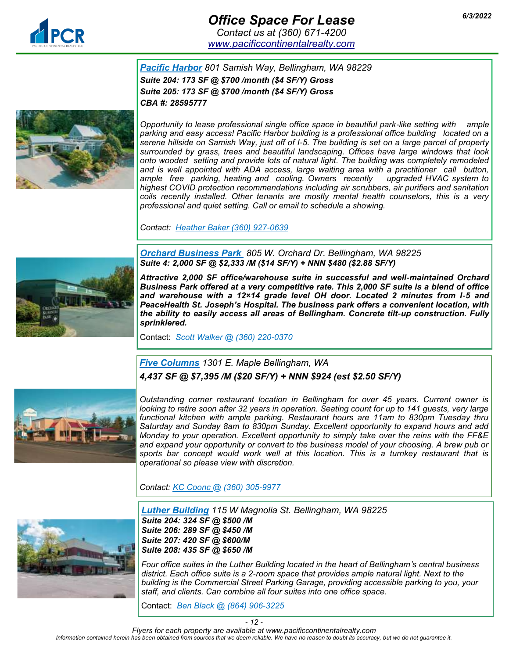

## *6/3/2022 Office Space For Lease Contact us at (360) 671-4200*

*[www.pacificcontinentalrealty.com](http://www.pacificcontinentalrealty.com/office-lease)*

*Pacific Harbor 801 Samish Way, Bellingham, WA 98229 Suite 204: 173 SF @ \$700 /month (\$4 SF/Y) Gross Suite 205: 173 SF @ \$700 /month (\$4 SF/Y) Gross CBA #: 28595777* 



*Opportunity to lease professional single office space in beautiful park-like setting with ample parking and easy access! Pacific Harbor building is a professional office building located on a serene hillside on Samish Way, just off of I-5. The building is set on a large parcel of property surrounded by grass, trees and beautiful landscaping. Offices have large windows that look onto wooded setting and provide lots of natural light. The building was completely remodeled and is well appointed with ADA access, large waiting area with a practitioner call button, ample free parking, heating and cooling. Owners recently upgraded HVAC system to highest COVID protection recommendations including air scrubbers, air purifiers and sanitation coils recently installed. Other tenants are mostly mental health counselors, this is a very professional and quiet setting. Call or email to schedule a showing.* 

*Contact: Heather Baker (360) 927-0639*

*Orchard Business Park 805 W. Orchard Dr. Bellingham, WA 98225 Suite 4: 2,000 SF @ \$2,333 /M (\$14 SF/Y) + NNN \$480 (\$2.88 SF/Y)*



*Attractive 2,000 SF office/warehouse suite in successful and well-maintained Orchard Business Park offered at a very competitive rate. This 2,000 SF suite is a blend of office and warehouse with a 12×14 grade level OH door. Located 2 minutes from I-5 and PeaceHealth St. Joseph's Hospital. The business park offers a convenient location, with the ability to easily access all areas of Bellingham. Concrete tilt-up construction. Fully sprinklered.*

Contact: *[Scott Walker](mailto:scott@pacificcontinentalrealty.com?subject=5905%20Portal%20Way%20Ferndale%20Crossings) @ (360) 220-0370* 

#### *[Five Columns](http://www.pacificcontinentalrealty.com/properties/1301-e-maple-st/) 1301 E. Maple Bellingham, WA 4,437 SF @ \$7,395 /M (\$20 SF/Y) + NNN \$924 (est \$2.50 SF/Y)*



*Outstanding corner restaurant location in Bellingham for over 45 years. Current owner is looking to retire soon after 32 years in operation. Seating count for up to 141 guests, very large functional kitchen with ample parking. Restaurant hours are 11am to 830pm Tuesday thru Saturday and Sunday 8am to 830pm Sunday. Excellent opportunity to expand hours and add Monday to your operation. Excellent opportunity to simply take over the reins with the FF&E and expand your opportunity or convert to the business model of your choosing. A brew pub or sports bar concept would work well at this location. This is a turnkey restaurant that is operational so please view with discretion.* 

*Contact: KC Coonc @ (360) 305-9977* 



*Luther Building 115 W Magnolia St. Bellingham, WA 98225 Suite 204: 324 SF @ \$500 /M Suite 206: 289 SF @ \$450 /M Suite 207: 420 SF @ \$600/M Suite 208: 435 SF @ \$650 /M*

*Four office suites in the Luther Building located in the heart of Bellingham's central business district. Each office suite is a 2-room space that provides ample natural light. Next to the building is the Commercial Street Parking Garage, providing accessible parking to you, your staff, and clients. Can combine all four suites into one office space.*

Contact: *[Ben Black @](mailto:scott@pacificcontinentalrealty.com?subject=5905%20Portal%20Way%20Ferndale%20Crossings) (864) 906-3225*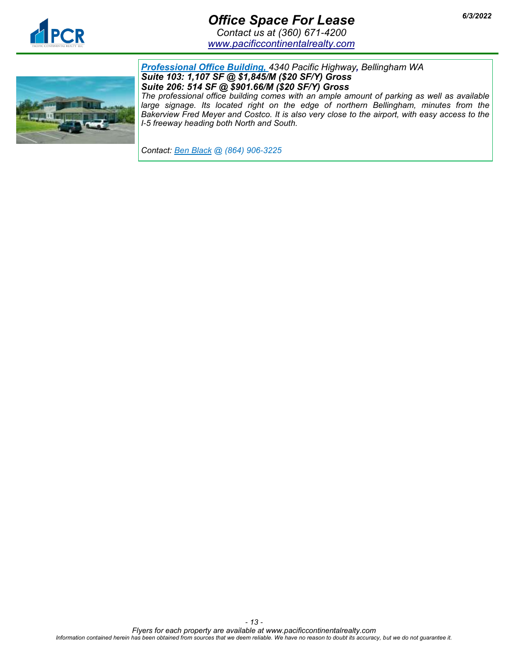

# *6/3/2022 Office Space For Lease*

*Contact us at (360) 671-4200 [www.pacificcontinentalrealty.com](http://www.pacificcontinentalrealty.com/office-lease)*



*Professional Office Building, 4340 Pacific Highway[,](http://www.pacificcontinentalrealty.com/listings/?propertyId=407573-lease) Bellingham WA Suite 103: 1,107 SF @ \$1,845/M (\$20 SF/Y) Gross Suite 206: 514 SF @ \$901.66/M (\$20 SF/Y) Gross*

*The professional office building comes with an ample amount of parking as well as available*  large signage. Its located right on the edge of northern Bellingham, minutes from the *Bakerview Fred Meyer and Costco. It is also very close to the airport, with easy access to the I-5 freeway heading both North and South.* 

*Contact: Ben Black @ (864) 906-3225*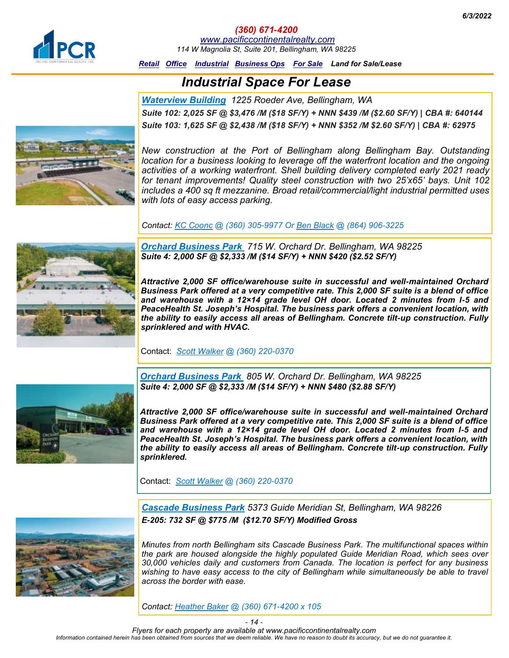<span id="page-13-0"></span>

*(360) 671-4200 [www.pacificcontinentalrealty.com](http://www.pacificcontinentalrealty.com/industrial-lease/) 114 W Magnolia St, Suite 201, Bellingham, WA 98225*

*[Retail](#page-0-0) [Office](#page-5-0) [Industrial](#page-13-0) [Business Ops For Sale](#page-15-0) Land for Sale/Lease*

## *Industrial Space For Lease*

*Waterview Building 1225 Roeder Ave, Bellingham, WA Suite 102: 2,025 SF @ \$3,476 /M (\$18 SF/Y) + NNN \$439 /M (\$2.60 SF/Y) | CBA #: 640144 Suite 103: 1,625 SF @ \$2,438 /M (\$18 SF/Y) + NNN \$352 /M \$2.60 SF/Y) | CBA #: 62975*



*New construction at the Port of Bellingham along Bellingham Bay. Outstanding location for a business looking to leverage off the waterfront location and the ongoing activities of a working waterfront. Shell building delivery completed early 2021 ready for tenant improvements! Quality steel construction with two 25'x65' bays. Unit 102 includes a 400 sq ft mezzanine. Broad retail/commercial/light industrial permitted uses with lots of easy access parking.*

*Contact: KC Coonc @ (360) 305-9977 Or Ben Black @ (864) 906-3225*



*Orchard Business Park 715 W. Orchard Dr. Bellingham, WA 98225 Suite 4: 2,000 SF @ \$2,333 /M (\$14 SF/Y) + NNN \$420 (\$2.52 SF/Y)*

*Attractive 2,000 SF office/warehouse suite in successful and well-maintained Orchard Business Park offered at a very competitive rate. This 2,000 SF suite is a blend of office and warehouse with a 12×14 grade level OH door. Located 2 minutes from I-5 and PeaceHealth St. Joseph's Hospital. The business park offers a convenient location, with the ability to easily access all areas of Bellingham. Concrete tilt-up construction. Fully sprinklered and with HVAC.* 

Contact: *[Scott Walker](mailto:scott@pacificcontinentalrealty.com?subject=5905%20Portal%20Way%20Ferndale%20Crossings) @ (360) 220-0370* 

*Orchard Business Park 805 W. Orchard Dr. Bellingham, WA 98225 Suite 4: 2,000 SF @ \$2,333 /M (\$14 SF/Y) + NNN \$480 (\$2.88 SF/Y)*

*Attractive 2,000 SF office/warehouse suite in successful and well-maintained Orchard Business Park offered at a very competitive rate. This 2,000 SF suite is a blend of office and warehouse with a 12×14 grade level OH door. Located 2 minutes from I-5 and PeaceHealth St. Joseph's Hospital. The business park offers a convenient location, with the ability to easily access all areas of Bellingham. Concrete tilt-up construction. Fully sprinklered.*

Contact: *[Scott Walker](mailto:scott@pacificcontinentalrealty.com?subject=5905%20Portal%20Way%20Ferndale%20Crossings) @ (360) 220-0370* 



*[Cascade Business Park](http://pacificcontinentalrealty.com/properties/warehouse-cascade-business-park/) 5373 Guide Meridian St, Bellingham, WA 98226 E-205: 732 SF @ \$775 /M (\$12.70 SF/Y) Modified Gross*

*Minutes from north Bellingham sits Cascade Business Park. The multifunctional spaces within the park are housed alongside the highly populated Guide Meridian Road, which sees over 30,000 vehicles daily and customers from Canada. The location is perfect for any business*  wishing to have easy access to the city of Bellingham while simultaneously be able to travel *across the border with ease.*

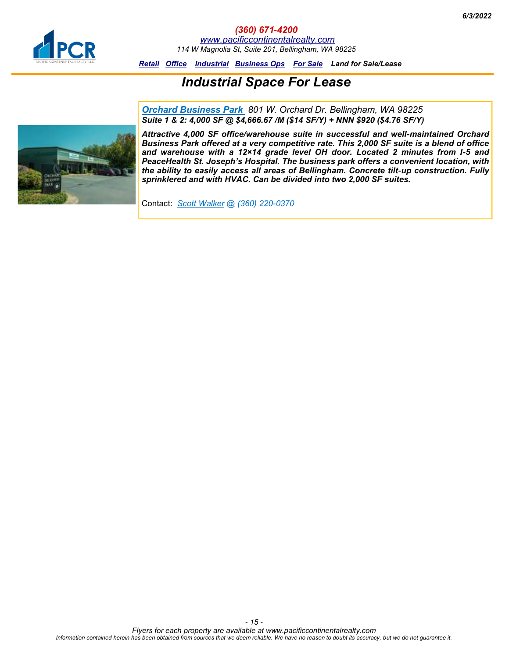

*(360) 671-4200 [www.pacificcontinentalrealty.com](http://www.pacificcontinentalrealty.com/industrial-lease/) 114 W Magnolia St, Suite 201, Bellingham, WA 98225*

*[Retail](#page-0-0) [Office](#page-5-0) [Industrial](#page-13-0) [Business Ops For Sale](#page-15-0) Land for Sale/Lease*

# *Industrial Space For Lease*

*Orchard Business Park 801 W. Orchard Dr. Bellingham, WA 98225 Suite 1 & 2: 4,000 SF @ \$4,666.67 /M (\$14 SF/Y) + NNN \$920 (\$4.76 SF/Y)*



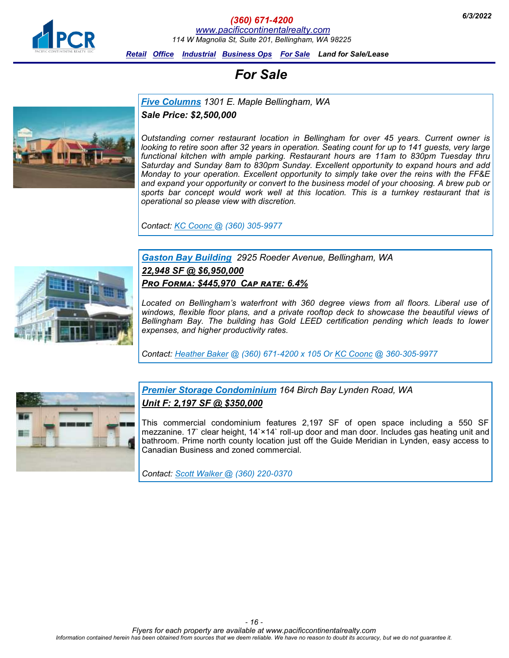<span id="page-15-0"></span>

*6/3/2022 (360) 671-4200*

*[www.pacificcontinentalrealty.com](http://www.pacificcontinentalrealty.com/for-sale/)*

*114 W Magnolia St, Suite 201, Bellingham, WA 98225*

*[Retail](#page-0-0) [Office](#page-5-0) [Industrial](#page-13-0) [Business Ops For Sale](#page-15-0) Land for Sale/Lease*

# *For Sale*

*[Five Columns](http://www.pacificcontinentalrealty.com/properties/1301-e-maple-st/) 1301 E. Maple Bellingham, WA* 

*Sale Price: \$2,500,000*

*Outstanding corner restaurant location in Bellingham for over 45 years. Current owner is looking to retire soon after 32 years in operation. Seating count for up to 141 guests, very large functional kitchen with ample parking. Restaurant hours are 11am to 830pm Tuesday thru Saturday and Sunday 8am to 830pm Sunday. Excellent opportunity to expand hours and add Monday to your operation. Excellent opportunity to simply take over the reins with the FF&E and expand your opportunity or convert to the business model of your choosing. A brew pub or sports bar concept would work well at this location. This is a turnkey restaurant that is operational so please view with discretion.* 

*Contact: KC Coonc @ (360) 305-9977* 

#### *[Gaston Bay Building](http://www.pacificcontinentalrealty.com/properties/waterfront-class-a-office-building-in-bellingham/) 2925 Roeder Avenue, Bellingham, WA 22,948 SF @ \$6,950,000 Pro Forma: \$445,970 Cap rate: 6.4%*

*Located on Bellingham's waterfront with 360 degree views from all floors. Liberal use of windows, flexible floor plans, and a private rooftop deck to showcase the beautiful views of Bellingham Bay. The building has Gold LEED certification pending which leads to lower expenses, and higher productivity rates.* 

*Contact: [Heather Baker](mailto:heather@pacificcontinentalrealty.com?subject=2925%20Roeder%20Ave.) @ (360) 671-4200 x 105 Or KC Coonc @ 360-305-9977* 



*[Premier S](http://www.pacificcontinentalrealty.com/properties/waterfront-class-a-office-building-in-bellingham/)torage Condominium 164 Birch Bay Lynden Road, WA Unit F: 2,197 SF @ \$350,000*

This commercial condominium features 2,197 SF of open space including a 550 SF mezzanine. 17` clear height, 14`×14` roll-up door and man door. Includes gas heating unit and bathroom. Prime north county location just off the Guide Meridian in Lynden, easy access to Canadian Business and zoned commercial.

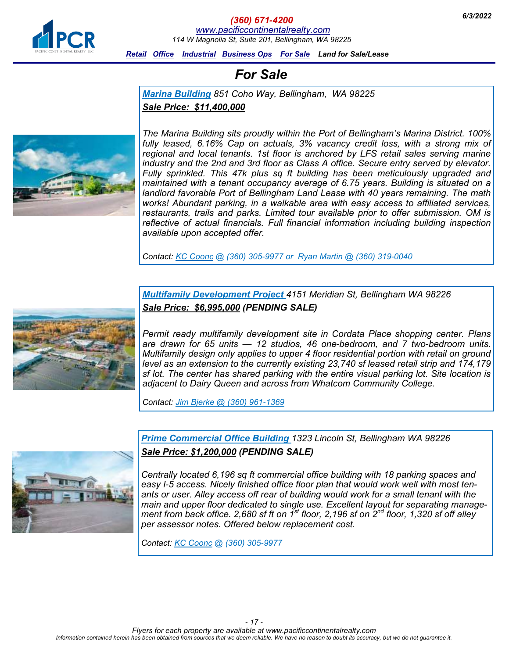

*6/3/2022 (360) 671-4200 [www.pacificcontinentalrealty.com](http://www.pacificcontinentalrealty.com/for-sale/) 114 W Magnolia St, Suite 201, Bellingham, WA 98225*

*[Retail](#page-0-0) [Office](#page-5-0) [Industrial](#page-13-0) [Business Ops For Sale](#page-15-0) Land for Sale/Lease*

# *For Sale*

*[Marina Building](http://www.pacificcontinentalrealty.com/properties/1301-e-maple-st/) 851 Coho Way, Bellingham, WA 98225 Sale Price: \$11,400,000*



*The Marina Building sits proudly within the Port of Bellingham's Marina District. 100% fully leased, 6.16% Cap on actuals, 3% vacancy credit loss, with a strong mix of regional and local tenants. 1st floor is anchored by LFS retail sales serving marine industry and the 2nd and 3rd floor as Class A office. Secure entry served by elevator. Fully sprinkled. This 47k plus sq ft building has been meticulously upgraded and maintained with a tenant occupancy average of 6.75 years. Building is situated on a landlord favorable Port of Bellingham Land Lease with 40 years remaining. The math works! Abundant parking, in a walkable area with easy access to affiliated services, restaurants, trails and parks. Limited tour available prior to offer submission. OM is reflective of actual financials. Full financial information including building inspection available upon accepted offer.* 

*Contact: KC Coonc @ (360) 305-9977 or Ryan Martin @ (360) 319-0040*



*Multifamily Development Project 4151 Meridian St, Bellingham WA 98226 Sale Price: \$6,995,000 (PENDING SALE)*

*Permit ready multifamily development site in Cordata Place shopping center. Plans are drawn for 65 units — 12 studios, 46 one-bedroom, and 7 two-bedroom units. Multifamily design only applies to upper 4 floor residential portion with retail on ground level as an extension to the currently existing 23,740 sf leased retail strip and 174,179 sf lot. The center has shared parking with the entire visual parking lot. Site location is adjacent to Dairy Queen and across from Whatcom Community College.* 

*Contact: Jim Bjerke @ (360) 961-1369*



*Prime Commercial Office Building 1323 Lincoln St, Bellingham WA 98226 Sale Price: \$1,200,000 (PENDING SALE)*

*Centrally located 6,196 sq ft commercial office building with 18 parking spaces and easy I-5 access. Nicely finished office floor plan that would work well with most tenants or user. Alley access off rear of building would work for a small tenant with the main and upper floor dedicated to single use. Excellent layout for separating management from back office. 2,680 sf ft on 1st floor, 2,196 sf on 2nd floor, 1,320 sf off alley per assessor notes. Offered below replacement cost.* 

*Contact: KC Coonc @ (360) 305-9977*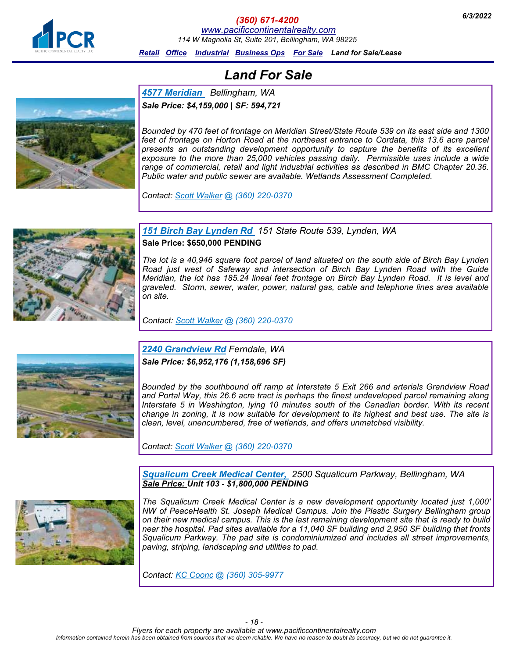

### *6/3/2022 (360) 671-4200*

*[www.pacificcontinentalrealty.com](http://www.pacificcontinentalrealty.com/for-sale/)*

*114 W Magnolia St, Suite 201, Bellingham, WA 98225*

*[Retail](#page-0-0) [Office](#page-5-0) [Industrial](#page-13-0) [Business Ops For Sale](#page-15-0) Land for Sale/Lease*

# *Land For Sale*

*[4577 Meridian](http://www.pacificcontinentalrealty.com/properties/4577-meridian/) Bellingham, WA Sale Price: \$4,159,000 | SF: 594,721*

*Bounded by 470 feet of frontage on Meridian Street/State Route 539 on its east side and 1300*  feet of frontage on Horton Road at the northeast entrance to Cordata, this 13.6 acre parcel *presents an outstanding development opportunity to capture the benefits of its excellent exposure to the more than 25,000 vehicles passing daily. Permissible uses include a wide range of commercial, retail and light industrial activities as described in BMC Chapter 20.36. Public water and public sewer are available. Wetlands Assessment Completed.*

*Contact: [Scott Walker](mailto:scott@pacificcontinentalrealty.com?subject=2301%20W.%20Main%20St) @ (360) 220-0370*



*[151 Birch Bay Lynden Rd](http://www.pacificcontinentalrealty.com/properties/157-birch-bay-lynden-rd/) 151 State Route 539, Lynden, WA*

**Sale Price: \$650,000 PENDING**

*The lot is a 40,946 square foot parcel of land situated on the south side of Birch Bay Lynden Road just west of Safeway and intersection of Birch Bay Lynden Road with the Guide Meridian, the lot has 185.24 lineal feet frontage on Birch Bay Lynden Road. It is level and graveled. Storm, sewer, water, power, natural gas, cable and telephone lines area available on site.* 

*Contact: [Scott Walker](mailto:scott@pacificcontinentalrealty.com?subject=164%20Bay%20Lyn%20Dr.) @ (360) 220-0370*



*[2240 Grandview Rd](http://pacificcontinentalrealty.com/properties/2240-grandview-land-for-sale/) Ferndale, WA Sale Price: \$6,952,176 (1,158,696 SF)*

*Bounded by the southbound off ramp at Interstate 5 Exit 266 and arterials Grandview Road and Portal Way, this 26.6 acre tract is perhaps the finest undeveloped parcel remaining along Interstate 5 in Washington, lying 10 minutes south of the Canadian border. With its recent change in zoning, it is now suitable for development to its highest and best use. The site is clean, level, unencumbered, free of wetlands, and offers unmatched visibility.* 

*Contact: [Scott Walker](mailto:scott@pacificcontinentalrealty.com?subject=2240%20Grandview%20Rd) @ (360) 220-0370* 

*Squalicum Creek [Medical](http://www.pacificcontinentalrealty.com/properties/2500-squalicum-parkway/) Center, 2500 Squalicum Parkway, Bellingham, WA Sale Price: Unit 103 - \$1,800,000 PENDING*



*The Squalicum Creek Medical Center is a new development opportunity located just 1,000' NW of PeaceHealth St. Joseph Medical Campus. Join the Plastic Surgery Bellingham group on their new medical campus. This is the last remaining development site that is ready to build near the hospital. Pad sites available for a 11,040 SF building and 2,950 SF building that fronts Squalicum Parkway. The pad site is condominiumized and includes all street improvements, paving, striping, landscaping and utilities to pad.*

*Contact: KC Coonc @ (360) 305-9977*